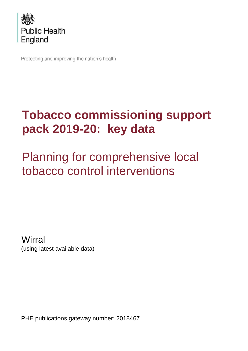

Protecting and improving the nation's health

# **Tobacco commissioning support pack 2019-20: key data**

Planning for comprehensive local tobacco control interventions

**Wirral** (using latest available data)

PHE publications gateway number: 2018467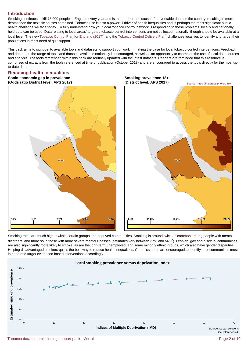# **Introduction**

Smoking continues to kill 78,000 people in England every year and is the number one cause of preventable death in the country, resulting in more deaths than the next six causes combined. Tobacco use is also a powerful driver of health inequalities and is perhaps the most significant public health challenge we face today. To fully understand how your local tobacco control network is responding to these problems, locally and nationally held data can be used. Data relating to local areas' targeted tobacco control interventions are not collected nationally, though should be available at a local level. The new [Tobacco Control Plan for England \(2017\)](http://www.gov.uk/government/publications/tobacco-control-plan-delivery-plan-2017-to-2022)<sup>1</sup> and the [Tobacco Control Delivery Plan](https://www.gov.uk/government/publications/tobacco-control-plan-delivery-plan-2017-to-2022)<sup>2</sup> challenges localities to identify and target their populations in most need of quit support.

This pack aims to signpost to available tools and datasets to support your work in making the case for local tobacco control interventions. Feedback and debate on the range of tools and datasets available nationally is encouraged, as well as an opportunity to champion the use of local data sources and analysis. The tools referenced within this pack are routinely updated with the latest datasets. Readers are reminded that this resource is comprised of extracts from the tools referenced at time of publication (October 2018) and are encouraged to access the tools directly for the most upto-date data.

# **Reducing health inequalities**

**Socio-economic gap in prevalence Smoking prevalence 18+ (Odds ratio District level, APS 2017) (District level, APS 2017)**





Smoking rates are much higher within certain groups and deprived communities. Smoking is around twice as common among people with mental disorders, and more so in those with more severe mental illnesses (estimates vary between 37% and 56% $3$ ). Lesbian, gay and bisexual communities are also significantly more likely to smoke, as are the long-term unemployed, and some minority ethnic groups, which also have gender disparities. Helping disadvantaged smokers quit is the best way to reduce health inequalities. Commissioners are encouraged to identify their communities most in need and target evidenced based interventions accordingly.

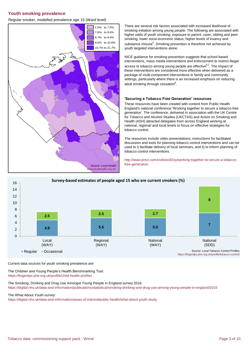# **Youth smoking prevalence**

Regular smoker, modelled prevalence age 15 (Ward level)



There are several risk factors associated with increased likelihood of smoking initiation among young people. The following are associated with higher odds of youth smoking: exposure to parent, carer, sibling and peer smoking, lower socio-economic status, higher levels of truancy and substance misuse<sup>5</sup>. Smoking prevention is therefore not achieved by youth targeted interventions alone.

NICE guidance for smoking prevention suggests that school based interventions, mass media interventions and enforcement to restrict illegal access to tobacco among young people are effective $6.7$ . The impact of these interventions are considered more effective when delivered as a package of multi-component interventions in family and community settings, particularly where there is an increased emphasis on reducing adult smoking through cessation<sup>8</sup>.

#### **'Securing a Tobacco Free Generation' resources**

These resources have been created with content from Public Health England's national conference 'Working together to secure a tobacco-free generation'. The conference, delivered in association with the UK Centre for Tobacco and Alcohol Studies (UKCTAS) and Action on Smoking and Health (ASH) attracted delegates from across England working at national, regional and local levels to focus on effective strategies for tobacco control.

The resources include video presentations, instructions for facilitated discussion and tools for planning tobacco control interventions and can be used to i) facilitate delivery of local seminars, and ii) to inform planning of tobacco control interventions.

[http://ww](http://www.prezi.com/ovi0oixi92oy/working-together-to-secure-a-tobacco-free-generation)w.prezi.com/ovi0oixi92oy/working-together-to-secure-a-tobacco[free-gen](http://www.prezi.com/ovi0oixi92oy/working-together-to-secure-a-tobacco-free-generation)eration



Current data sources for youth smoking prevalence are:

The Children and Young People's Health Benchmarking Tool: <https://fingertips.phe.org.uk/profile/child-health-profiles>

The Smoking, Drinking and Drug Use Amongst Young People in England survey 2016: <https://digital.nhs.uk/data-and-information/publications/statistical/smoking-drinking-and-drug-use-among-young-people-in-england/2016>

The What About Youth survey:

<https://digital.nhs.uk/data-and-information/areas-of-interest/public-health/what-about-youth-study>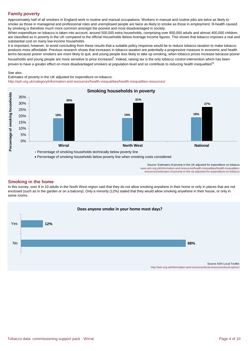# **Family poverty**

Approximately half of all smokers in England work in routine and manual occupations. Workers in manual and routine jobs are twice as likely to smoke as those in managerial and professional roles and unemployed people are twice as likely to smoke as those in employment. Ill-health caused by smoking is therefore much more common amongst the poorest and most disadvantaged in society.

When expenditure on tobacco is taken into account, around 500,000 extra households, comprising over 850,000 adults and almost 400,000 children, are classified as in poverty in the UK compared to the official Households Below Average Income figures. This shows that tobacco imposes a real and substantial cost on many low-income households.

It is important, however, to avoid concluding from these results that a suitable policy response would be to reduce tobacco taxation to make tobacco products more affordable. Previous research shows that increases in tobacco taxation are potentially a progressive measure in economic and health terms because poorer smokers are more likely to quit, and young people less likely to take up smoking, when tobacco prices increase because poorer households and young people are more sensitive to price increases<sup>9</sup>. Indeed, raising tax is the only tobacco control intervention which has been proven to have a greater effect on more disadvantaged smokers at population level and so contribute to reducing health inequalities<sup>10</sup>.

#### See also

[http://as](http://ash.org.uk/category/information-and-resources/health-inequalities/health-inequalities-resources/)h.org.uk/category/information-and-resources/health-inequalities/health-inequalities-resources/ Estimates of poverty in the UK adjusted for expenditure on tobacco:



Source: Estimates of poverty in the UK adjusted for expenditure on tobacco www.ash.org.uk/information-and-resources/health-inequalities/health-inequalities[r](http://www.ash.org.uk/information-and-resources/health-inequalities/health-inequalities-resources/estimates-of-poverty-in-the-uk-adjusted-for-expenditure-on-tobacco)esources/estimates-of-poverty-in-the-uk-adjusted-for-expenditure-on-tobacco

#### **Smoking in the home**

In this survey, over 8 in 10 adults in the North West region said that they do not allow smoking anywhere in their home or only in places that are not enclosed (such as in the garden or on a balcony). Only a minority (12%) stated that they would allow smoking anywhere in their house, or only in some rooms.

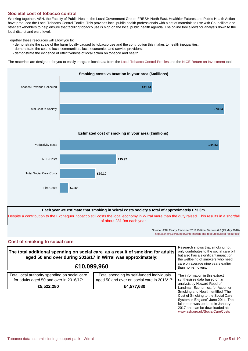# **Societal cost of tobacco control**

Working together, ASH, the Faculty of Public Health, the Local Government Group, FRESH North East, Healthier Futures and Public Health Action have produced the Local Tobacco Control Toolkit. This provides local public health professionals with a set of materials to use with Councillors and other stakeholders to help ensure that tackling tobacco use is high on the local public health agenda. The online tool allows for analysis down to the local district and ward level.

Together these resources will allow you to:

- demonstrate the scale of the harm locally caused by tobacco use and the contribution this makes to health inequalities,
- demonstrate the cost to local communities, local economies and service providers,
- demonstrate the evidence of effectiveness of local action on tobacco and health.

The materials are designed for you to easily integrate local data from th[e Local Tobacco Control Profiles a](https://fingertips.phe.org.uk/profile/tobacco-control/)nd the [NICE Return on Investment](https://www.nice.org.uk/About/What-we-do/Into-practice/Return-on-investment-tools/Tobacco-Return-on-Investment-tool) tool.



of about £31.9m each year.

Source: ASH Ready Reckoner 2018 Edition. Version 6.8 (25 May 2018) [http://a](http://ash.org.uk/category/information-and-resources/local-resources/)sh.org.uk/category/information-and-resources/local-resources/

# **Cost of smoking to social care**

**The total additional spending on social care as a result of smoking for adults aged 50 and over during 2016/17 in Wirral was approximately:**

# **£10,099,960**

Total local authority spending on social care for adults aged 50 and over in 2016/17: **£5,522,280**

Total spending by self-funded individuals aged 50 and over on social care in 2016/17: **£4,577,680**

Research shows that smoking not only contributes to the social care bill but also has a significant impact on the wellbeing of smokers who need care on average nine years earlier than non-smokers.

 [www.a](http://www.ash.org.uk/SocialCareCosts)sh.org.uk/SocialCareCosts The information in this extract synthesises data based on an analysis by Howard Reed of Landman Economics, for Action on Smoking and Health, entitled "The Cost of Smoking to the Social Care System in England" June 2014. The full report was updated in January 2017 and can be downloaded at: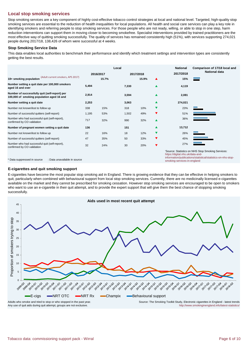# **Local stop smoking services**

Stop smoking services are a key component of highly cost-effective tobacco control strategies at local and national level. Targeted, high-quality stop smoking services are essential to the reduction of health inequalities for local populations. All health and social care services can play a key role in identifying smokers and referring people to stop smoking services. For those people who are not ready, willing, or able to stop in one step, harm reduction interventions can support them in moving closer to becoming smokefree. Specialist interventions provided by trained practitioners are the most effective way of quitting smoking successfully. The quality of services has remained consistently high (51%), with services supporting 274,021 people during 2017/18, 138,426 of whom were successful at 4 weeks.

#### **Stop Smoking Service Data**

This data enables local authorities to benchmark their performance and identify which treatment settings and intervention types are consistently getting the best results.

|                                                                                            | Local                  |       |       |       |                      | <b>National</b>                                                 | Comparison of 17/18 local and                                                                                     |
|--------------------------------------------------------------------------------------------|------------------------|-------|-------|-------|----------------------|-----------------------------------------------------------------|-------------------------------------------------------------------------------------------------------------------|
|                                                                                            | 2017/2018<br>2016/2017 |       |       |       | 2017/2018            | <b>National data</b>                                            |                                                                                                                   |
| (Adult current smokers, APS 2017)<br>18+ smoking population                                |                        | 15.7% |       | 15.9% |                      | 15%                                                             |                                                                                                                   |
| Number setting a quit date per 100,000 smokers<br>aged 16 and over                         | 5,494                  |       | 7,330 |       | ▲                    | 4,119                                                           |                                                                                                                   |
| Number of successfully quit (self-report) per<br>100,000 of smoking population aged 16 and | 2,914                  |       | 3,594 |       | ▲                    | 2,081                                                           |                                                                                                                   |
| Number setting a quit date                                                                 | 2,253                  |       | 3,063 |       | ▲                    | 274,021                                                         |                                                                                                                   |
| Number not known/lost to follow up                                                         | 338                    | 15%   | 318   | 10%   | ▼                    | 23%                                                             |                                                                                                                   |
| Number of successful quitters (self-report)                                                | 1,195                  | 53%   | 1,502 | 49%   | ▼                    | 51%                                                             |                                                                                                                   |
| Number who had successful quit (self-report),<br>confirmed by CO validation                | 717                    | 32%   | 990   | 32%   | ▲                    | 36%                                                             |                                                                                                                   |
| Number of pregnant women setting a quit date                                               | 136                    |       | 151   |       | ▲                    | 13,712                                                          |                                                                                                                   |
| Number not known/lost to follow up                                                         | 22                     | 16%   | 18    | 12%   | ▼                    | 26%                                                             |                                                                                                                   |
| Number of successful quitters (self-report)                                                | 47                     | 35%   | 50    | 33%   | ▼                    | 45%                                                             |                                                                                                                   |
| Number who had successful quit (self-report),<br>confirmed by CO validation                | 32                     | 24%   | 30    | 20%   | $\blacktriangledown$ | 27%                                                             |                                                                                                                   |
| : Data unavailable in source<br>* Data suppressed in source                                |                        |       |       |       |                      | https://digital.nhs.uk/data-and-<br>smoking-services-in-england | 'Source: Statistics on NHS Stop Smoking Services:<br>information/publications/statistical/statistics-on-nhs-stop- |

#### **E-cigarettes and quit smoking support**

E-cigarettes have become the most popular stop smoking aid in England. There is growing evidence that they can be effective in helping smokers to quit, particularly when combined with behavioural support from local stop smoking services. Currently, there are no medicinally licensed e-cigarettes available on the market and they cannot be prescribed for smoking cessation. However stop smoking services are encouraged to be open to smokers who want to use an e-cigarette in their quit attempt, and to provide the expert support that will give them the best chance of stopping smoking successfully.



Any use of quit aids during quit attempt, groups are not exclusive.

[http://ww](http://www.smokinginengland.info/latest-statistics/)w.smokinginengland.info/latest-statistics/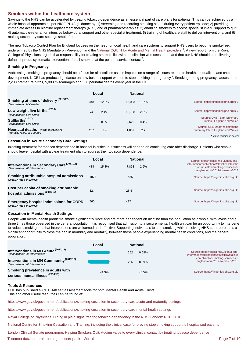# **Smokers within the healthcare system**

Savings to the NHS can be accelerated by treating tobacco dependence as an essential part of care plans for patients. This can be achieved by a whole hospital approach as per NICE PH48 guidance by: 1) screening and recording smoking status during every patient episode; 2) providing immediate access to nicotine replacement therapy (NRT) and or pharmacotherapies; 3) enabling smokers to access specialist in-situ support to quit; 4) automatic e-referral for intensive behavioural support and other specialist treatment; 5) training of healthcare staff to deliver interventions; and 6) making secondary care settings smokefree.

The new Tobacco Control Plan for England focuses on the need for local health and care systems to support NHS users to become smokefree; underpinned by the NHS Mandate on Prevention and th[e National CQUIN for Acute and Mental Health providers](https://www.england.nhs.uk/publication/preventing-ill-health-cquin-supplementary-guidance/)<sup>11</sup>. A new report from the Royal College of Physcians argues that responsibility for treating smokers lies with the clinician who sees them, and that our NHS should be delivering default, opt-out, systematic interventions for all smokers at the point of service contact<sup>12</sup>.

#### **Smoking in Pregnancy**

Addressing smoking in pregnancy should be a focus for all localities as this impacts on a range of issues related to health, inequalities and child development. NICE has produced guidance on how best to support women to stop smoking in pregnancy<sup>13</sup>. Smoking during pregnancy causes up to 2,200 premature births, 5,000 miscarriages and 300 perinatal deaths every year in the UK.

|                                                                   |     | Local | <b>National</b> |
|-------------------------------------------------------------------|-----|-------|-----------------|
| Smoking at time of delivery (2016/17)<br>Denominator: Maternities | 348 | 12.0% | 65.023<br>10.7% |
| Low weight live births (2016)<br>Denominator: Live births         | 74  | 2.4%  | 16.788<br>2.8%  |
| Stillbirths <sup>(2017)</sup><br>Denominator: Live births         | 9   | 0.3%  | 2.679<br>0.4%   |
| Neonatal deaths (North West, 2017)<br>Mortality rates, see source | 287 | 3.4   | 1.857<br>2.9    |
|                                                                   |     |       |                 |

#### **Cessation in Acute Secondary Care Settings**

Initiating treatment for tobacco dependence in hospital is critical but success will depend on continuing care after discharge. Patients who smoke should leave hospital with a clear treatment plan to address their tobacco dependence.

|                                                                                        | Local        | <b>National</b> | Source: https://digital.nhs.uk/data-and-                                                                                 |  |
|----------------------------------------------------------------------------------------|--------------|-----------------|--------------------------------------------------------------------------------------------------------------------------|--|
| Interventions in Secondary Care <sup>(2017/18)</sup><br>Denominator: All interventions | 15.8%<br>484 | 2.9%<br>7.898   | information/publications/statistical/statistic<br>s-on-nhs-stop-smoking-services-in-<br>england/april-2017-to-march-2018 |  |
| Smoking attributable hospital admissions<br>(2016/17 rate per 100,000)                 | 1873         | 1685            | Source: https://fingertips.phe.org.uk/                                                                                   |  |
| Cost per capita of smoking attributable<br>hospital admissions <sup>(2016/17)</sup>    | 32.4         | 28.4            | Source: https://fingertips.phe.org.uk/                                                                                   |  |
| <b>Emergency hospital admissions for COPD</b><br>(2016/17 rate per 100,000)            | 560          | 417             | Source: https://fingertips.phe.org.uk/                                                                                   |  |

#### **Cessation in Mental Health Settings**

People with mental health problems smoke significantly more and are more dependent on nicotine than the population as a whole, with levels about three times those observed in the general population. It is recognised that admission to a secure mental health unit can be an opportunity to intervene to reduce smoking and that interventions are welcomed and effective. Supporting individuals to stop smoking while receiving NHS care represents a significant opportunity to close the gap in morbidity and mortality, between those people experiencing mental health conditions, and the general population.

|                                                                                      | Local |              | <b>National</b>                                                        |                                                                                            |
|--------------------------------------------------------------------------------------|-------|--------------|------------------------------------------------------------------------|--------------------------------------------------------------------------------------------|
| Interventions in MH Acute <sup>(2017/18)</sup><br>Denominator: All interventions     |       | 252          | 0.09%                                                                  | Source: https://digital.nhs.uk/data-and-<br>information/publications/statistical/statistic |
| Interventions in MH Community <sup>(2017/18)</sup><br>Denominator: All interventions |       | 256<br>0.09% | s-on-nhs-stop-smoking-services-in-<br>england/april-2017-to-march-2018 |                                                                                            |
| Smoking prevalence in adults with<br>serious mental illness <sup>(2014/15)</sup>     | 41.3% |              | 40.5%                                                                  | Source: https://fingertips.phe.org.uk/                                                     |

#### **Tools & Resources**

PHE has published NICE PH48 self-assessment tools for both Mental Health and Acute Trusts. This and other useful resources can be found at:

[https://w](https://www.gov.uk/government/publications/smoking-cessation-in-secondary-care-acute-and-maternity-settings)ww.gov.uk/government/publications/smoking-cessation-in-secondary-care-acute-and-maternity-settings

[https://w](https://www.gov.uk/government/publications/smoking-cessation-in-secondary-care-mental-health-settings)ww.gov.uk/government/publications/smoking-cessation-in-secondary-care-mental-health-settings

[Royal College of Physicians. Hiding in plain sight: treating tobacco dependency in the NHS. London: RCP, 2018.](https://www.rcplondon.ac.uk/projects/outputs/hiding-plain-sight-treating-tobacco-dependency-nhs)

[National Centre for Smoking Cessation and Training; including the clinical case for proving stop smoking support to hospitalised patients](http://www.ncsct.co.uk/pub_secondary-care-resources.php)

[London Clinical Senate programme: Helping Smokers Quit: Adding value to every clinical contact by treating tobacco dependence](http://www.londonsenate.nhs.uk/helping-smokers-quit/)

Tobacco data: commissioning support pack - Wirral Page 7 of 10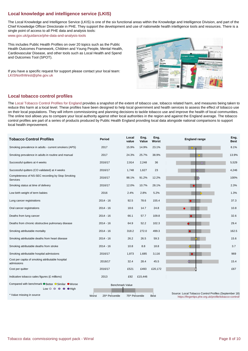# **Local knowledge and intelligence service (LKIS)**

The Local Knowledge and Intelligence Service (LKIS) is one of the six functional areas within the Knowledge and Intelligence Division, and part of the Chief Knowledge Officer Directorate in PHE. They support the development and use of nationwide health intelligence tools and resources. There is a single point of access to all PHE data and analysis tools:

[www.go](http://www.gov.uk/guidance/phe-data-and-analysis-tools)v.uk/guidance/phe-data-and-analysis-tools

This includes Public Health Profiles on over 20 topics such as the Public Health Outcomes Framework, Children and Young People, Mental Health, Cardiovascular Disease, and other tools such as Local Health and Spend and Outcomes Tool (SPOT).

If you have a specific request for support please contact your local team: LKISNorthWest@phe.gov.uk



# **Local tobacco control profiles**

Th[e Local Tobacco Control Profiles for England p](https://fingertips.phe.org.uk/profile/tobacco-control)rovides a snapshot of the extent of tobacco use, tobacco related harm, and measures being taken to reduce this harm at a local level. These profiles have been designed to help local government and health services to assess the effect of tobacco use on their local populations. They will inform commissioning and planning decisions to tackle tobacco use and improve the health of local communities. The online tool allows you to compare your local authority against other local authorities in the region and against the England average. The tobacco control profiles are part of a series of products produced by Public Health England providing local data alongside national comparisons to support local health improvement.

| <b>Tobacco Control Profiles</b>                                                                          | Period                   | Local<br>value          | Eng.<br>Value | Eng.<br>Worst                                                                                                  | <b>England range</b> | Eng.<br>Best |
|----------------------------------------------------------------------------------------------------------|--------------------------|-------------------------|---------------|----------------------------------------------------------------------------------------------------------------|----------------------|--------------|
| Smoking prevalence in adults - current smokers (APS)                                                     | 2017                     | 15.9%                   | 14.9%         | 23.1%                                                                                                          | $\bullet$            | 8.1%         |
| Smoking prevalence in adults in routine and manual                                                       | 2017                     | 24.3%                   | 25.7%         | 38.9%                                                                                                          | $\bullet$            | 13.9%        |
| Successful quitters at 4 weeks                                                                           | 2016/17                  | 2,914                   | 2,248         | 36                                                                                                             | $\circ$              | 5,529        |
| Successful quitters (CO validated) at 4 weeks                                                            | 2016/17                  | 1,748                   | 1,627         | 23                                                                                                             | lo                   | 4,246        |
| Completeness of NS-SEC recording by Stop Smoking<br>Services                                             | 2016/17                  | 98.1%                   | 91.2%         | 12.2%                                                                                                          | $\circ$              | 100%         |
| Smoking status at time of delivery                                                                       | 2016/17                  | 12.0%                   | 10.7%         | 28.1%                                                                                                          |                      | 2.3%         |
| Low birth weight of term babies                                                                          | 2016                     | 2.4%                    | 2.8%          | 5.2%                                                                                                           | $\circ$              | 1.3%         |
| Lung cancer registrations                                                                                | $2014 - 16$              | 92.5                    | 78.6          | 155.4                                                                                                          | $\bullet$            | 37.3         |
| Oral cancer registrations                                                                                | $2014 - 16$              | 18.6                    | 14.7          | 24.8                                                                                                           | $\bullet$            | 10.8         |
| Deaths from lung cancer                                                                                  | 2014 - 16                | 66.1                    | 57.7          | 109.8                                                                                                          | $\bullet$            | 32.6         |
| Deaths from chronic obstructive pulmonary disease                                                        | $2014 - 16$              | 64.9                    | 52.2          | 102.3                                                                                                          | $\bullet$            | 29.4         |
| Smoking attributable mortality                                                                           | $2014 - 16$              | 318.2                   | 272.0         | 499.3                                                                                                          | $\bullet$            | 162.5        |
| Smoking attributable deaths from heart disease                                                           | 2014 - 16                | 26.2                    | 26.5          | 59.3                                                                                                           |                      | 15.6         |
| Smoking attributable deaths from stroke                                                                  | $2014 - 16$              | 10.8                    | 8.8           | 18.8                                                                                                           | $\circ$              | 3.7          |
| Smoking attributable hospital admissions                                                                 | 2016/17                  | 1,873                   | 1,685         | 3,116                                                                                                          | $\bullet$            | 969          |
| Cost per capita of smoking attributable hospital<br>admissions                                           | 2016/17                  | 32.4                    | 28.4          | 45.5                                                                                                           | $\circ$              | 15.4         |
| Cost per quitter                                                                                         | 2016/17                  | £521                    | £493          | £20,172                                                                                                        |                      | £67          |
| Indicative tobacco sales figures (£ millions)                                                            | 2013                     | £92                     | £15,446       |                                                                                                                |                      |              |
| Compared with benchmark ● Better ● Similar ● Worse<br>Low $\circ$ $\circ$ $\circ$ $\circ$ $\bullet$ High | <b>Benchmark Value</b>   |                         |               |                                                                                                                |                      |              |
| * Value missing in source                                                                                | Worst<br>25th Percentile | 75th Percentile<br>Best |               | Source: Local Tobacco Control Profiles (September 18)<br>https://fingertips.phe.org.uk/profile/tobacco-control |                      |              |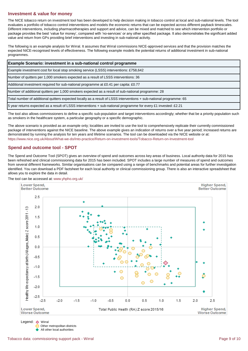# **Investment & value for money**

The NICE tobacco return on investment tool has been developed to help decision making in tobacco control at local and sub-national levels. The tool evaluates a portfolio of tobacco control interventions and models the economic returns that can be expected across different payback timescales. Different interventions, including pharmacotherapies and support and advice, can be mixed and matched to see which intervention portfolio or package provides the best 'value for money', compared with 'no-services' or any other specified package. It also demonstrates the significant added value and return from GPs providing brief interventions and investing in sub-national activity.

The following is an example analysis for Wirral. It assumes that Wirral commissions NICE-approved services and that the provision matches the expected NICE-recognised levels of effectiveness. The following example models the potential returns of additional investment in sub-national programmes.

| <b>Example Scenario: investment in a sub-national control programme</b>                                               |  |  |  |  |  |
|-----------------------------------------------------------------------------------------------------------------------|--|--|--|--|--|
| Example investment cost for local stop smoking service (LSSS) interventions: £758,642                                 |  |  |  |  |  |
| Number of quitters per 1,000 smokers expected as a result of LSSS interventions: 36                                   |  |  |  |  |  |
| Additional investment required for sub-national programme at £0.41 per capita: £0.77                                  |  |  |  |  |  |
| Number of additional quitters per 1,000 smokers expected as a result of sub-national programme: 28                    |  |  |  |  |  |
| Total number of additional quitters expected locally as a result of LSSS interventions + sub-national programme: 65   |  |  |  |  |  |
| 52.21 S year returns expected as a result of LSSS interventions + sub-national programme for every £1 invested: £2.21 |  |  |  |  |  |

The tool also allows commissioners to define a specific sub-population and target interventions accordingly; whether that be a priority population such as smokers in the healthcare system, a particular geography or a specific demographic.

[https://w](https://www.nice.org.uk/About/What-we-do/Into-practice/Return-on-investment-tools/Tobacco-Return-on-Investment-tool)ww.nice.org.uk/About/What-we-do/Into-practice/Return-on-investment-tools/Tobacco-Return-on-Investment-tool The above scenario is provided as an example only; localities are invited to use the tool to comprehensively replicate their currently commissioned package of interventions against the NICE baseline. The above example gives an indication of returns over a five year period; increased returns are demonstrated by running the analysis for ten years and lifetime scenarios. The tool can be downloaded via the NICE website or at:

# **Spend and outcome tool - SPOT**

The Spend and Outcome Tool (SPOT) gives an overview of spend and outcomes across key areas of business. Local authority data for 2015 has been refreshed and clinical commissioning data for 2015 has been included. SPOT includes a large number of measures of spend and outcomes from several different frameworks. Similar organisations can be compared using a range of benchmarks and potential areas for further investigation identified. You can download a PDF factsheet for each local authority or clinical commissioning group. There is also an interactive spreadsheet that allows you to explore the data in detail.



The tool can be accessed at[: www.yhpho.org.uk/](http://www.yhpho.org.uk/default.aspx?RID=49488)

Legend: Wirral Other metropolitan districts All other local authorities